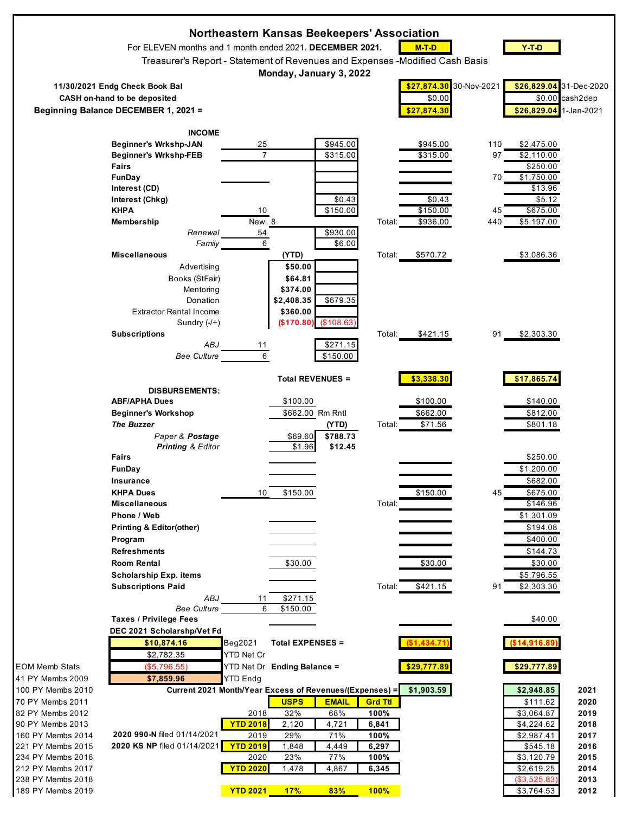|                                        |                                                                               | Northeastern Kansas Beekeepers' Association |                         |                     |                        |             |             |                           |                 |
|----------------------------------------|-------------------------------------------------------------------------------|---------------------------------------------|-------------------------|---------------------|------------------------|-------------|-------------|---------------------------|-----------------|
|                                        | For ELEVEN months and 1 month ended 2021. DECEMBER 2021.                      |                                             |                         |                     |                        | $M-T-D$     |             | $Y-T-D$                   |                 |
|                                        | Treasurer's Report - Statement of Revenues and Expenses - Modified Cash Basis |                                             |                         |                     |                        |             |             |                           |                 |
|                                        |                                                                               |                                             | Monday, January 3, 2022 |                     |                        |             |             |                           |                 |
|                                        | 11/30/2021 Endg Check Book Bal                                                |                                             |                         |                     |                        | \$27,874.30 | 30-Nov-2021 | \$26,829.04 31-Dec-2020   |                 |
|                                        | <b>CASH</b> on-hand to be deposited                                           |                                             |                         |                     |                        | \$0.00      |             |                           | \$0.00 cash2dep |
|                                        | Beginning Balance DECEMBER 1, 2021 =                                          |                                             |                         |                     |                        | \$27,874.30 |             | \$26,829.04               | 1-Jan-2021      |
|                                        | <b>INCOME</b>                                                                 |                                             |                         |                     |                        |             |             |                           |                 |
|                                        | Beginner's Wrkshp-JAN                                                         | 25                                          |                         | \$945.00            |                        | \$945.00    | 110         | \$2,475.00                |                 |
|                                        | <b>Beginner's Wrkshp-FEB</b>                                                  | $\overline{7}$                              |                         | \$315.00            |                        | \$315.00    | 97          | \$2,110.00                |                 |
|                                        | <b>Fairs</b><br>FunDay                                                        |                                             |                         |                     |                        |             | 70          | \$250.00<br>\$1,750.00    |                 |
|                                        | Interest (CD)                                                                 |                                             |                         |                     |                        |             |             | \$13.96                   |                 |
|                                        | Interest (Chkg)                                                               |                                             |                         | \$0.43              |                        | \$0.43      |             | \$5.12                    |                 |
|                                        | <b>KHPA</b>                                                                   | 10                                          |                         | \$150.00            |                        | \$150.00    | 45          | \$675.00                  |                 |
|                                        | Membership                                                                    | New: 8                                      |                         |                     | Total:                 | \$936.00    | 440         | \$5,197.00                |                 |
|                                        | Renewal<br>Family                                                             | 54<br>6                                     |                         | \$930.00<br>\$6.00  |                        |             |             |                           |                 |
|                                        | <b>Miscellaneous</b>                                                          |                                             | (YTD)                   |                     | Total:                 | \$570.72    |             | \$3,086.36                |                 |
|                                        | Advertising                                                                   |                                             | \$50.00                 |                     |                        |             |             |                           |                 |
|                                        | Books (StFair)                                                                |                                             | \$64.81                 |                     |                        |             |             |                           |                 |
|                                        | Mentoring                                                                     |                                             | \$374.00                |                     |                        |             |             |                           |                 |
|                                        | Donation<br><b>Extractor Rental Income</b>                                    |                                             | \$2,408.35<br>\$360.00  | \$679.35            |                        |             |             |                           |                 |
|                                        | Sundry $(-/+)$                                                                |                                             | (\$170.80)              | (\$108.63)          |                        |             |             |                           |                 |
|                                        | <b>Subscriptions</b>                                                          |                                             |                         |                     | Total:                 | \$421.15    | 91          | \$2,303.30                |                 |
|                                        | <b>ABJ</b>                                                                    | 11<br>6                                     |                         | \$271.15            |                        |             |             |                           |                 |
|                                        | <b>Bee Culture</b>                                                            |                                             |                         | \$150.00            |                        |             |             |                           |                 |
|                                        |                                                                               |                                             | <b>Total REVENUES =</b> |                     |                        | \$3,338.30  |             | \$17,865.74               |                 |
|                                        | <b>DISBURSEMENTS:</b>                                                         |                                             |                         |                     |                        |             |             |                           |                 |
|                                        | <b>ABF/APHA Dues</b>                                                          |                                             | \$100.00                |                     |                        | \$100.00    |             | \$140.00                  |                 |
|                                        | <b>Beginner's Workshop</b>                                                    |                                             | \$662.00 Rm Rntl        |                     |                        | \$662.00    |             | \$812.00                  |                 |
|                                        | <b>The Buzzer</b><br>Paper & Postage                                          |                                             | \$69.60                 | (YTD)<br>\$788.73   | Total:                 | \$71.56     |             | \$801.18                  |                 |
|                                        | Printing & Editor                                                             |                                             | \$1.96                  | \$12.45             |                        |             |             |                           |                 |
|                                        | <b>Fairs</b>                                                                  |                                             |                         |                     |                        |             |             | \$250.00                  |                 |
|                                        | FunDay                                                                        |                                             |                         |                     |                        |             |             | \$1,200.00                |                 |
|                                        | Insurance                                                                     |                                             |                         |                     |                        |             |             | \$682.00                  |                 |
|                                        | <b>KHPA Dues</b><br><b>Miscellaneous</b>                                      | 10                                          | \$150.00                |                     | Total:                 | \$150.00    | 45          | \$675.00<br>\$146.96      |                 |
|                                        | Phone / Web                                                                   |                                             |                         |                     |                        |             |             | \$1,301.09                |                 |
|                                        | <b>Printing &amp; Editor(other)</b>                                           |                                             |                         |                     |                        |             |             | \$194.08                  |                 |
|                                        | Program                                                                       |                                             |                         |                     |                        |             |             | \$400.00                  |                 |
|                                        | <b>Refreshments</b>                                                           |                                             |                         |                     |                        |             |             | \$144.73                  |                 |
|                                        | Room Rental                                                                   |                                             | \$30.00                 |                     |                        | \$30.00     |             | \$30.00                   |                 |
|                                        | <b>Scholarship Exp. items</b><br><b>Subscriptions Paid</b>                    |                                             |                         |                     | Total:                 | \$421.15    | 91          | \$5,796.55<br>\$2,303.30  |                 |
|                                        | ABJ                                                                           | 11                                          | \$271.15                |                     |                        |             |             |                           |                 |
|                                        | <b>Bee Culture</b>                                                            | 6                                           | \$150.00                |                     |                        |             |             |                           |                 |
|                                        | <b>Taxes / Privilege Fees</b>                                                 |                                             |                         |                     |                        |             |             | \$40.00                   |                 |
|                                        | DEC 2021 Scholarshp/Vet Fd<br>\$10,874.16                                     | Beg2021                                     | <b>Total EXPENSES =</b> |                     |                        | \$1,434.71  |             | (\$14,916.89)             |                 |
|                                        | \$2,782.35                                                                    | YTD Net Cr                                  |                         |                     |                        |             |             |                           |                 |
| EOM Memb Stats                         | (\$5,796.55)                                                                  | YTD Net Dr Ending Balance =                 |                         |                     |                        | \$29,777.89 |             | \$29,777.89               |                 |
| 41 PY Membs 2009                       | \$7,859.96                                                                    | <b>YTD Endg</b>                             |                         |                     |                        |             |             |                           |                 |
| 100 PY Membs 2010                      | Current 2021 Month/Year Excess of Revenues/(Expenses) =                       |                                             |                         |                     |                        | \$1,903.59  |             | \$2,948.85                | 2021            |
| 70 PY Membs 2011<br>82 PY Membs 2012   |                                                                               | 2018                                        | <b>USPS</b><br>32%      | <b>EMAIL</b><br>68% | <b>Grd Ttl</b><br>100% |             |             | \$111.62<br>\$3,064.87    | 2020<br>2019    |
| 90 PY Membs 2013                       |                                                                               | <b>YTD 2018</b>                             | 2,120                   | 4,721               | 6,841                  |             |             | \$4,224.62                | 2018            |
| 160 PY Membs 2014                      | 2020 990-N filed 01/14/2021                                                   | 2019                                        | 29%                     | 71%                 | 100%                   |             |             | \$2,987.41                | 2017            |
| 221 PY Membs 2015                      | 2020 KS NP filed 01/14/2021                                                   | <b>YTD 2019</b>                             | 1,848                   | 4,449               | 6,297                  |             |             | \$545.18                  | 2016            |
| 234 PY Membs 2016                      |                                                                               | 2020                                        | 23%                     | 77%                 | 100%                   |             |             | \$3,120.79                | 2015            |
| 212 PY Membs 2017<br>238 PY Membs 2018 |                                                                               | <b>YTD 2020</b>                             | 1,478                   | 4,867               | 6,345                  |             |             | \$2,619.25<br>(\$3,525.83 | 2014<br>2013    |
| 189 PY Membs 2019                      |                                                                               | <b>YTD 2021</b>                             | 17%                     | 83%                 | 100%                   |             |             | \$3,764.53                | 2012            |